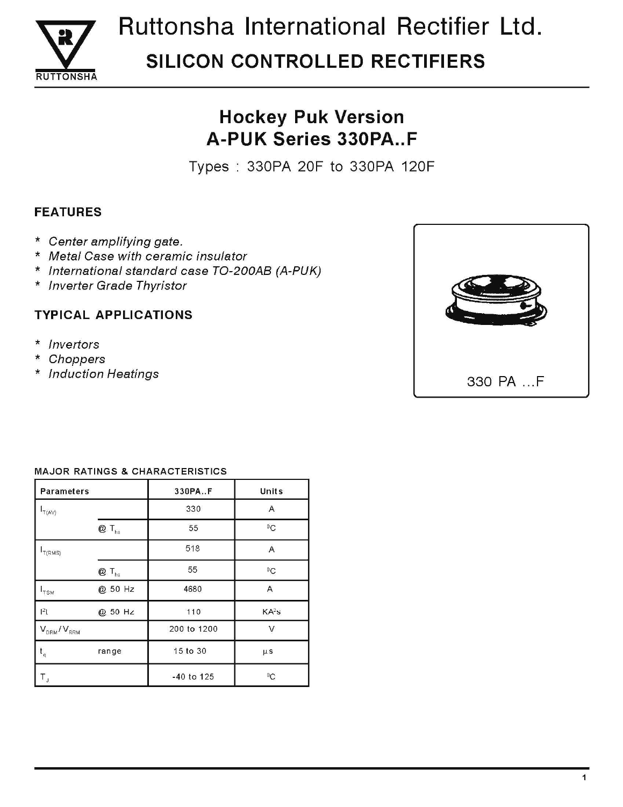

# Ruttonsha International Rectifier Ltd. **SILICON CONTROLLED RECTIFIERS**

## **Hockey Puk Version A-PUK Series 330PA..F**

Types: 330PA 20F to 330PA 120F

### **FEATURES**

- \* Center amplifying gate.
- \* Metal Case with ceramic insulator
- \* International standard case TO-200AB (A-PUK)
- \* Inverter Grade Thyristor

### **TYPICAL APPLICATIONS**

- \* Invertors
- Choppers  $\star$
- \* Induction Heatings



#### **MAJOR RATINGS & CHARACTERISTICS**

| <b>Parameters</b>             |                            | 330PA.F      | Units             |  |
|-------------------------------|----------------------------|--------------|-------------------|--|
| $I_{T(AV)}$                   |                            | 330          | A                 |  |
|                               | $@T_{hs}$                  | 55           | ${}^0C$           |  |
| T(RMS)                        |                            | 518          | $\overline{A}$    |  |
|                               | $Q \mathsf{T}_{\text{hs}}$ | 55           | $\rm ^{0}C$       |  |
| $\mathsf{I}_{\mathsf{TSM}}$   | @ 50 Hz                    | 4680         | Α                 |  |
| $ ^{2}$ t                     | @ 50 Hz                    | 110          | KA <sup>2</sup> s |  |
| $V_{DRM}/V_{RRM}$             |                            | 200 to 1200  | ν                 |  |
| $\mathfrak{t}_{\mathfrak{q}}$ | range                      | 15 to 30     | $\mu$ s           |  |
| T,                            |                            | $-40$ to 125 | °C                |  |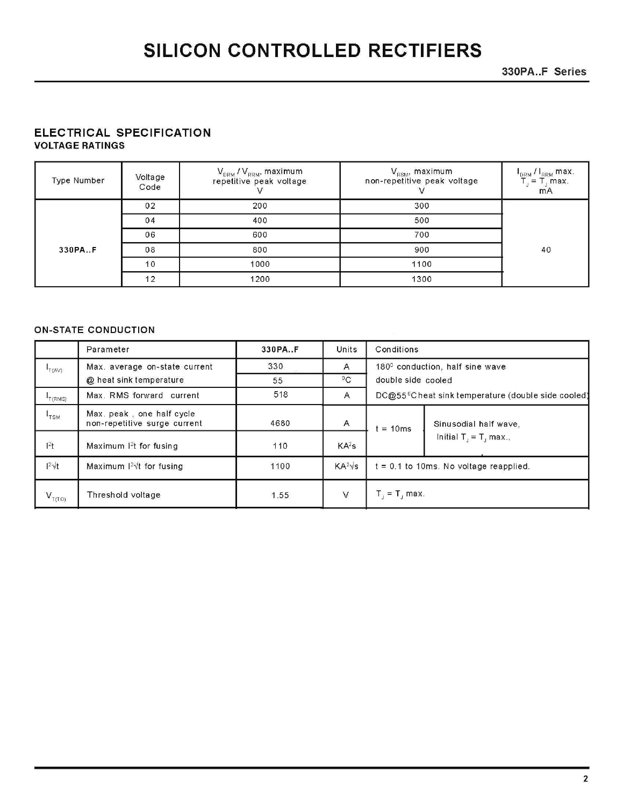330PA..F Series

#### ELECTRICAL SPECIFICATION **VOLTAGE RATINGS**

| Type Number | Voltage<br>Code | $V_{DRM} / V_{RRM}$ , maximum<br>repetitive peak voltage | $\bm{\mathsf{V}}_{\mathsf{RSM}}$ , maximum<br>non-repetitive peak voltage | I <sub>DRM</sub> / I <sub>RRM</sub> max.<br>$\mathsf{L} = \mathsf{T}$ , max.<br>m <sub>A</sub> |
|-------------|-----------------|----------------------------------------------------------|---------------------------------------------------------------------------|------------------------------------------------------------------------------------------------|
|             | 02              | 200                                                      | 300                                                                       |                                                                                                |
|             | 04              | 400                                                      | 500                                                                       |                                                                                                |
|             | 06              | 600                                                      | 700                                                                       |                                                                                                |
| 330PA.F     | 08              | 800                                                      | 900                                                                       | 40                                                                                             |
|             | 10              | 1000                                                     | 1100                                                                      |                                                                                                |
|             | 12              | 1200                                                     | 1300                                                                      |                                                                                                |

#### **ON-STATE CONDUCTION**

|                                         | Parameter                                                 | 330PA.F | Units             | Conditions         |                                                                |
|-----------------------------------------|-----------------------------------------------------------|---------|-------------------|--------------------|----------------------------------------------------------------|
| T(AV)                                   | Max. average on-state current                             | 330     | A                 |                    | 180 <sup>0</sup> conduction, half sine wave                    |
|                                         | @ heat sink temperature                                   | 55      | ${}^{0}C$         | double side cooled |                                                                |
| $\mathsf{I}_{\mathsf{T}(\mathsf{RMS})}$ | Max. RMS forward current                                  | 518     | $\mathsf{A}$      |                    | DC@55 <sup>0</sup> Cheat sink temperature (double side cooled) |
| $\mathsf{r}_{\texttt{TSM}}$             | Max. peak, one half cycle<br>non-repetitive surge current | 4680    | Α                 | $= 10ms$           | Sinusodial half wave,                                          |
| 1 <sup>2</sup> t                        | Maximum 1 <sup>2</sup> t for fusing                       | 110     | KA <sup>2</sup> S |                    | Initial $T_{\rm d} = T_{\rm d}$ max.,                          |
| $1^2 \sqrt{t}$                          | Maximum $12\sqrt{t}$ for fusing                           | 1100    | $KA^2\sqrt{s}$    |                    | $t = 0.1$ to 10ms. No voltage reapplied.                       |
| $V_{T(TO)}$                             | Threshold voltage                                         | 1.55    | $\mathsf{V}$      | $T_1 = T_1$ max.   |                                                                |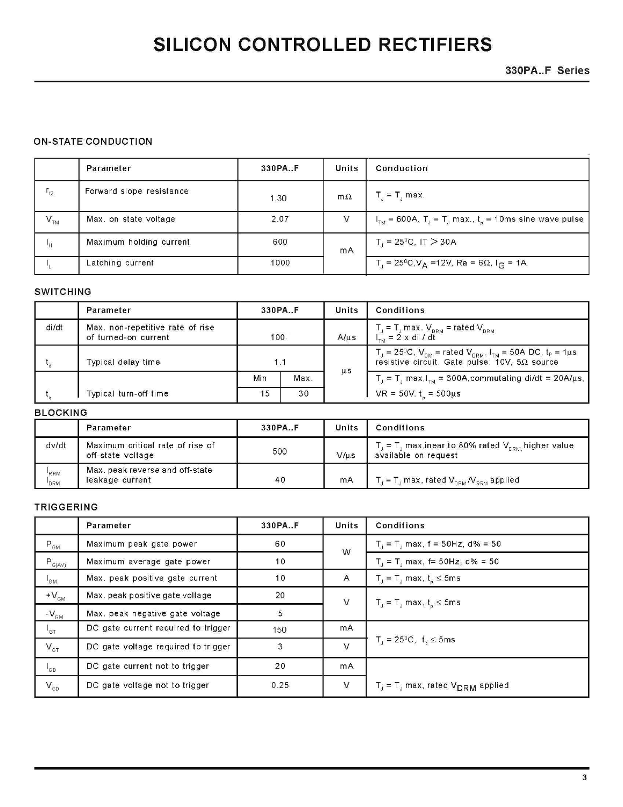330PA..F Series

#### **ON-STATE CONDUCTION**

|                          | Parameter                | 330PAF | Units     | Conduction                                                                                |
|--------------------------|--------------------------|--------|-----------|-------------------------------------------------------------------------------------------|
| $r_{t2}$                 | Forward slope resistance | 1.30   | $m\Omega$ | $T_{\rm d}$ = $T_{\rm d}$ max.                                                            |
| $\mathbf{V}_{\text{TM}}$ | Max. on state voltage    | 2.07   | V         | $ITM$ = 600A, T <sub>J</sub> = T <sub>J</sub> max., t <sub>p</sub> = 10ms sine wave pulse |
| $\mathsf{H}$             | Maximum holding current  | 600    | mA        | $T_{\rm d}$ = 25 <sup>0</sup> C, IT $>$ 30A                                               |
|                          | Latching current         | 1000   |           | $\Gamma_{\rm d}$ = 25ºC,V <sub>A</sub> =12V, Ra = 6Ω, I <sub>G</sub> = 1A                 |

#### **SWITCHING**

|       | Parameter                                                |             | 330PA.F |           | Conditions                                                                                                                                                                      |
|-------|----------------------------------------------------------|-------------|---------|-----------|---------------------------------------------------------------------------------------------------------------------------------------------------------------------------------|
| di/dt | Max. non-repetitive rate of rise<br>of turned-on current | 100         |         | $A/\mu s$ | $T_{\perp}$ = $T_{\perp}$ max. $V_{\text{DRM}}$ = rated $V_{\text{DRM}}$<br>$I_{\text{rad}} = 2 \times di / dt$                                                                 |
|       | Typical delay time                                       | 1 1         |         | $\mu s$   | $T_{\rm d}$ = 25 <sup>0</sup> C, $V_{\rm DM}$ = rated $V_{\rm DRM}$ , $I_{\rm TM}$ = 50A DC, $t_{\rm p}$ = 1 $\mu$ s<br>resistive circuit. Gate pulse: $10V$ , $5\Omega$ source |
|       |                                                          | Min<br>Max. |         |           | $T_J = T_J$ max, $I_{TM} = 300A$ , commutating di/dt = 20A/ $\mu$ s,                                                                                                            |
|       | Typical turn-off time                                    | 30<br>15    |         |           | VR = $50V$ . $t_{\circ} = 500 \mu s$                                                                                                                                            |

#### **BLOCKING**

|                   | Parameter                                             | 330PA.F | Units     | Conditions                                                                                                            |
|-------------------|-------------------------------------------------------|---------|-----------|-----------------------------------------------------------------------------------------------------------------------|
| dv/dt             | Maximum critical rate of rise of<br>off-state voltage | 500     | $V/\mu s$ | , $\tau_{\rm c}$ = T $_{\rm u}$ max,inear to 80% rated $\rm V_{_{DRM}}$ higher value<br>available on request          |
| <b>RRM</b><br>DRM | Max. peak reverse and off-state<br>leakage current    | 40      | mA        | $\mathcal{L}_\mathrm{f}$ = T $_\mathrm{f}$ max, rated $\mathsf{V}_{_\mathrm{DRM}}\mathcal{N}_{_\mathrm{RRM}}$ applied |

#### TRIGGERING

|                                              | Parameter                           | 330PA.F | <b>Units</b> | <b>Conditions</b>                                     |
|----------------------------------------------|-------------------------------------|---------|--------------|-------------------------------------------------------|
| $\mathsf{P}_{\mathsf{GM}}$                   | Maximum peak gate power             | 60      | W            | $T_1 = T_1$ max, f = 50Hz, d% = 50                    |
| $P_{G(A\vee)}$                               | Maximum average gate power          | 10      |              | $T_1 = T_1$ max, f= 50Hz, d% = 50                     |
| $I_{GM}$                                     | Max. peak positive gate current     | 10      | A            | $T_{J} = T_{J}$ max, $t_{n} \le 5$ ms                 |
| $+V_{\text{GM}}$                             | Max. peak positive gate voltage     | 20      | $\vee$       | $T_{j} = T_{j}$ max, $t_{p} \le 5$ ms                 |
| $-V_{\text{GM}}$                             | Max. peak negative gate voltage     | 5       |              |                                                       |
| $\mathsf{I}_{\mathsf{GT}}$                   | DC gate current required to trigger | 150     | mA           |                                                       |
| $V_{\text{GT}}$                              | DC gate voltage required to trigger | 3       | V            | $T_{d} = 25^{0}C, t_{n} \le 5$ ms                     |
| $\mathsf{I}_{\mathsf{GD}}$                   | DC gate current not to trigger      | 20      | mA           |                                                       |
| $\mathsf{V}_{\scriptscriptstyle\mathsf{GD}}$ | DC gate voltage not to trigger      | 0.25    | V            | $T_{J}$ = T <sub>J</sub> max, rated $V_{DRM}$ applied |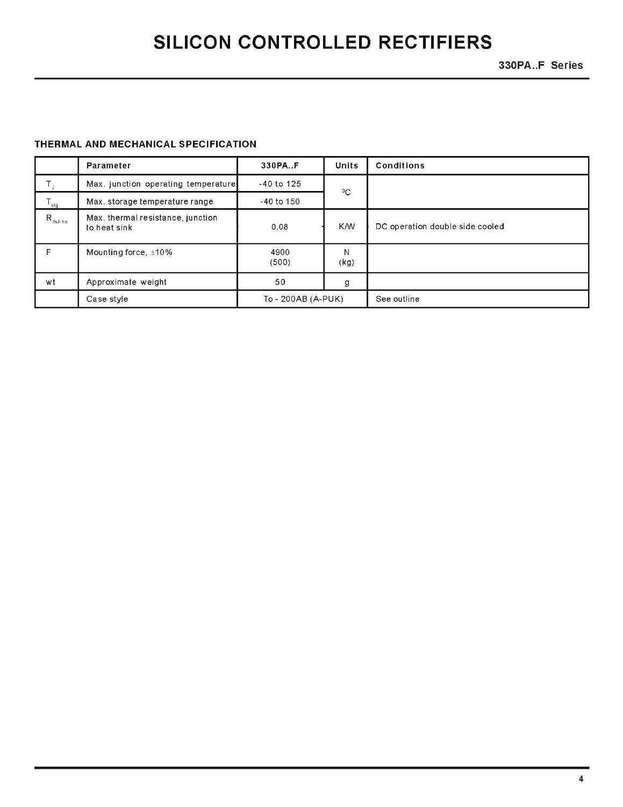330PA..F Series

#### THERMAL AND MECHANICAL SPECIFICATION

|                                | Parameter                                         | 330PAF             | Units      | <b>Conditions</b>               |
|--------------------------------|---------------------------------------------------|--------------------|------------|---------------------------------|
|                                | Max. junction operating temperature               | $-40$ to 125       | $^0C$      |                                 |
| $T_{\text{stg}}$               | Max. storage temperature range                    | $-40$ to $150$     |            |                                 |
| $\mathsf{R}_{\textsf{thJ-hs}}$ | Max. thermal resistance, junction<br>to heat sink | 0.08               | <b>K/W</b> | DC operation double side cooled |
| F                              | Mounting force, $\pm 10\%$                        | 4900<br>(500)      | Ν<br>(kg)  |                                 |
| wt                             | Approximate weight                                | 50                 | g          |                                 |
|                                | Case style                                        | To - 200AB (A-PUK) |            | See outline                     |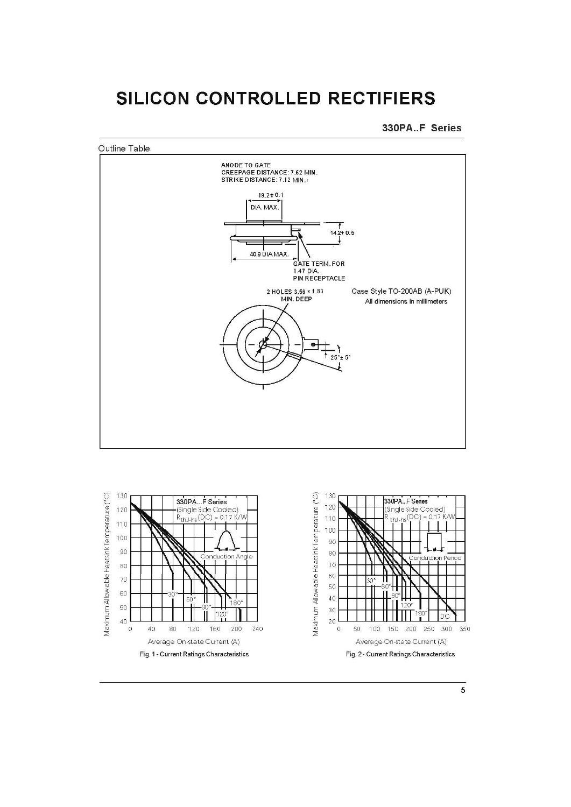



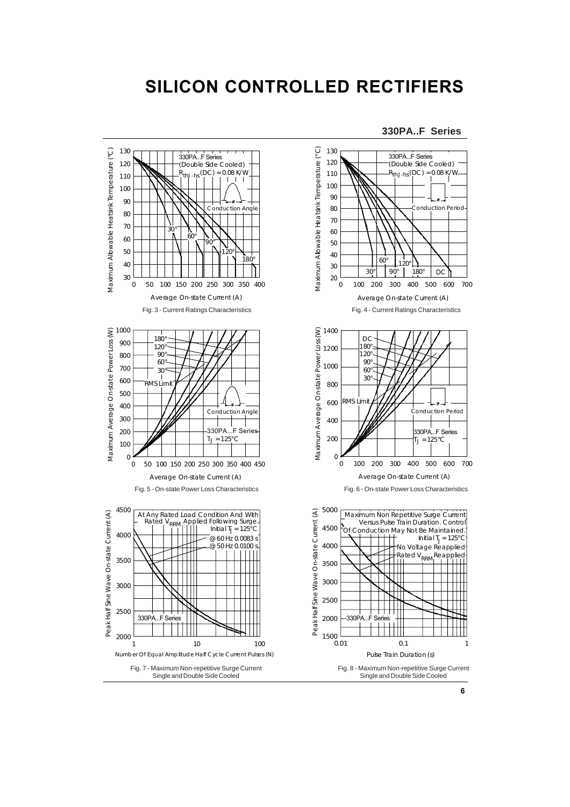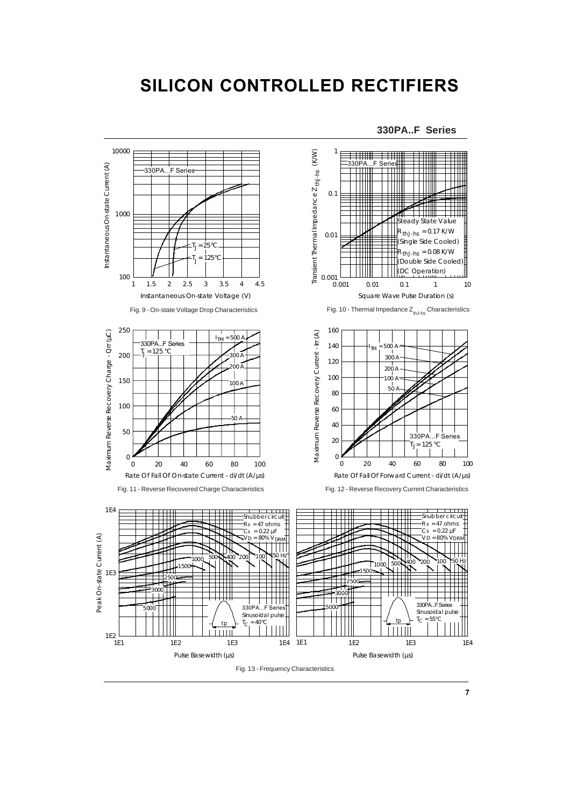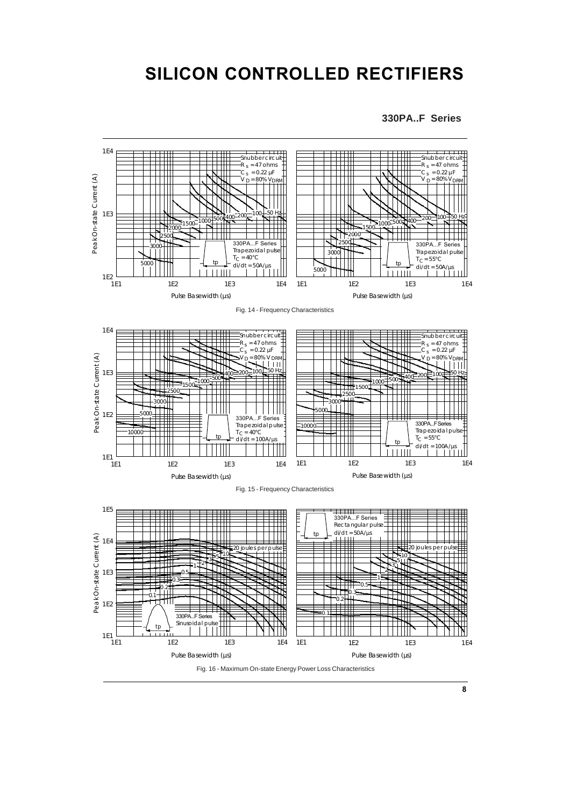